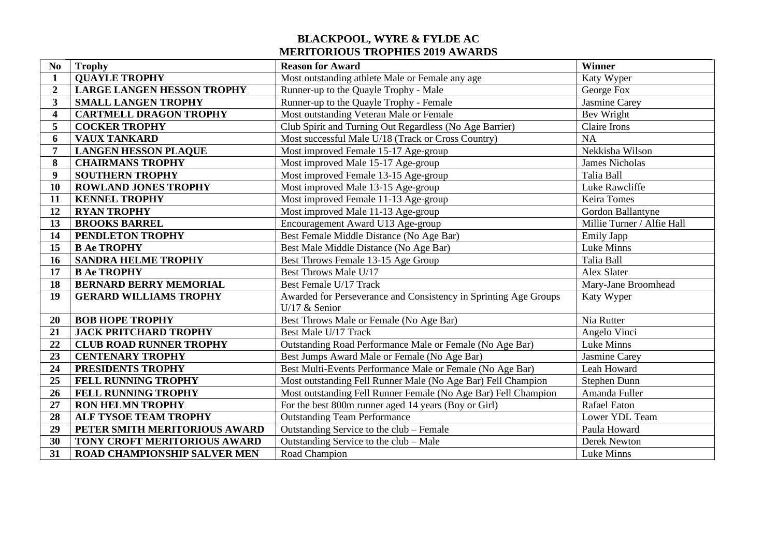## **BLACKPOOL, WYRE & FYLDE AC MERITORIOUS TROPHIES 2019 AWARDS**

| No                      | <b>Trophy</b>                       | <b>Reason for Award</b>                                          | Winner                     |
|-------------------------|-------------------------------------|------------------------------------------------------------------|----------------------------|
| $\mathbf{1}$            | <b>QUAYLE TROPHY</b>                | Most outstanding athlete Male or Female any age                  | Katy Wyper                 |
| $\overline{2}$          | <b>LARGE LANGEN HESSON TROPHY</b>   | Runner-up to the Quayle Trophy - Male                            | George Fox                 |
| 3                       | <b>SMALL LANGEN TROPHY</b>          | Runner-up to the Quayle Trophy - Female                          | <b>Jasmine Carey</b>       |
| $\overline{\mathbf{4}}$ | <b>CARTMELL DRAGON TROPHY</b>       | Most outstanding Veteran Male or Female                          | Bev Wright                 |
| 5                       | <b>COCKER TROPHY</b>                | Club Spirit and Turning Out Regardless (No Age Barrier)          | Claire Irons               |
| 6                       | <b>VAUX TANKARD</b>                 | Most successful Male U/18 (Track or Cross Country)               | <b>NA</b>                  |
| $\overline{7}$          | <b>LANGEN HESSON PLAQUE</b>         | Most improved Female 15-17 Age-group                             | Nekkisha Wilson            |
| 8                       | <b>CHAIRMANS TROPHY</b>             | Most improved Male 15-17 Age-group                               | <b>James Nicholas</b>      |
| 9                       | <b>SOUTHERN TROPHY</b>              | Most improved Female 13-15 Age-group                             | Talia Ball                 |
| 10                      | <b>ROWLAND JONES TROPHY</b>         | Most improved Male 13-15 Age-group                               | Luke Rawcliffe             |
| 11                      | <b>KENNEL TROPHY</b>                | Most improved Female 11-13 Age-group                             | Keira Tomes                |
| 12                      | <b>RYAN TROPHY</b>                  | Most improved Male 11-13 Age-group                               | Gordon Ballantyne          |
| 13                      | <b>BROOKS BARREL</b>                | Encouragement Award U13 Age-group                                | Millie Turner / Alfie Hall |
| 14                      | PENDLETON TROPHY                    | Best Female Middle Distance (No Age Bar)                         | <b>Emily Japp</b>          |
| 15                      | <b>B Ae TROPHY</b>                  | Best Male Middle Distance (No Age Bar)                           | Luke Minns                 |
| 16                      | <b>SANDRA HELME TROPHY</b>          | Best Throws Female 13-15 Age Group                               | Talia Ball                 |
| 17                      | <b>B Ae TROPHY</b>                  | Best Throws Male U/17                                            | Alex Slater                |
| 18                      | <b>BERNARD BERRY MEMORIAL</b>       | Best Female U/17 Track                                           | Mary-Jane Broomhead        |
| 19                      | <b>GERARD WILLIAMS TROPHY</b>       | Awarded for Perseverance and Consistency in Sprinting Age Groups | Katy Wyper                 |
|                         |                                     | U/17 $&$ Senior                                                  |                            |
| 20                      | <b>BOB HOPE TROPHY</b>              | Best Throws Male or Female (No Age Bar)                          | Nia Rutter                 |
| 21                      | <b>JACK PRITCHARD TROPHY</b>        | Best Male U/17 Track                                             | Angelo Vinci               |
| 22                      | <b>CLUB ROAD RUNNER TROPHY</b>      | Outstanding Road Performance Male or Female (No Age Bar)         | Luke Minns                 |
| 23                      | <b>CENTENARY TROPHY</b>             | Best Jumps Award Male or Female (No Age Bar)                     | Jasmine Carey              |
| 24                      | PRESIDENTS TROPHY                   | Best Multi-Events Performance Male or Female (No Age Bar)        | Leah Howard                |
| 25                      | FELL RUNNING TROPHY                 | Most outstanding Fell Runner Male (No Age Bar) Fell Champion     | Stephen Dunn               |
| 26                      | <b>FELL RUNNING TROPHY</b>          | Most outstanding Fell Runner Female (No Age Bar) Fell Champion   | Amanda Fuller              |
| 27                      | <b>RON HELMN TROPHY</b>             | For the best 800m runner aged 14 years (Boy or Girl)             | <b>Rafael Eaton</b>        |
| 28                      | ALF TYSOE TEAM TROPHY               | <b>Outstanding Team Performance</b>                              | Lower YDL Team             |
| 29                      | PETER SMITH MERITORIOUS AWARD       | Outstanding Service to the club - Female                         | Paula Howard               |
| 30                      | TONY CROFT MERITORIOUS AWARD        | Outstanding Service to the club – Male                           | Derek Newton               |
| 31                      | <b>ROAD CHAMPIONSHIP SALVER MEN</b> | Road Champion                                                    | Luke Minns                 |